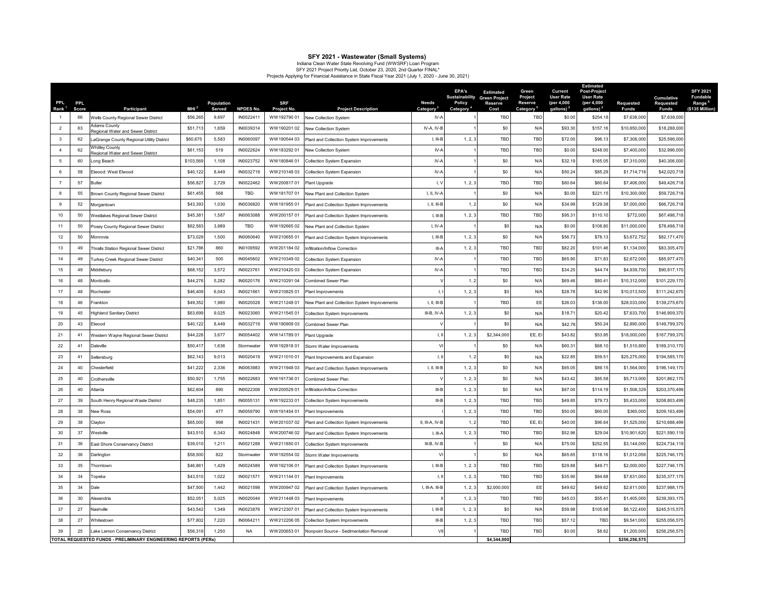**SFY 2021 - Wastewater (Small Systems)**<br>Indiana Clean Water State Revolving Fund (WWSRF) Loan Program<br>SFY 2021 Project Priority List, October 23, 2020, 2nd Quarter FilNAL\*<br>Projects Applying for Financial Assistance in Stat

| PPL<br>Rank <sup>1</sup> | <b>PPL</b><br>Score | Participant                                                    | MH <sup>2</sup> | Population<br>Served | <b>NPDES No.</b> | <b>SRF</b><br>Project No. | <b>Project Description</b>                   | <b>Needs</b><br>Category <sup>3</sup> | EPA's<br><b>Policy</b><br>Category <sup>'</sup> | <b>Estimated</b><br><b>Sustainability</b> Green Project<br>Reserve<br>Cost | Green<br>Project<br><b>Reserve</b><br>Category <sup>5</sup> | Current<br><b>User Rate</b><br>(per 4,000<br>qallons) | <b>Estimated</b><br>Post-Project<br><b>User Rate</b><br>(per 4,000<br>qallons) | <b>Requested</b><br><b>Funds</b> | Cumulative<br>Requested<br><b>Funds</b> |
|--------------------------|---------------------|----------------------------------------------------------------|-----------------|----------------------|------------------|---------------------------|----------------------------------------------|---------------------------------------|-------------------------------------------------|----------------------------------------------------------------------------|-------------------------------------------------------------|-------------------------------------------------------|--------------------------------------------------------------------------------|----------------------------------|-----------------------------------------|
| $\overline{1}$           | 66                  | Wells County Regional Sewer District                           | \$56,265        | 9.897                | IN0022411        | WW19279001                | New Collection System                        | $IV-A$                                |                                                 | <b>TBD</b>                                                                 | TBD                                                         | \$0.00                                                | \$254.18                                                                       | \$7,638,000                      | \$7,638,000                             |
| $\overline{2}$           | 63                  | Adams County<br>Regional Water and Sewer District              | \$51.713        | 1.659                | IN0039314        | WW19020102                | New Collection System                        | IV-A, IV-B                            |                                                 | \$0                                                                        | N/A                                                         | \$93.30                                               | \$157.16                                                                       | \$10,650,000                     | \$18,288,000                            |
| $\overline{3}$           | 62                  | LaGrange County Regional Utility District                      | \$60,675        | 5.583                | IN0060097        | WW19054403                | Plant and Collection System Improvements     | $1 - 111$ <sub>-</sub> $B$            | 1, 2, 3                                         | TBD                                                                        | TRD                                                         | \$72.00                                               | \$96.13                                                                        | \$7,308,000                      | \$25,596,000                            |
| $\overline{4}$           | 62                  | <b>Nhitley County</b><br>Regional Water and Sewer District     | \$61,153        | 519                  | IN0022624        | WW18329201                | New Collection System                        | $IV-A$                                |                                                 | TBD                                                                        | TBD                                                         | \$0.00                                                | \$248.00                                                                       | \$7,400,000                      | \$32,996,000                            |
| -5                       | 60                  | Long Beach                                                     | \$103,569       | 1,108                | IN0023752        | WW18084601                | <b>Collection System Expansion</b>           | IV-A                                  | $\mathbf{1}$                                    | \$0                                                                        | N/A                                                         | \$32.19                                               | \$165.05                                                                       | \$7,310,000                      | \$40,306,000                            |
| 6                        | 58                  | Elwood: West Elwood                                            | \$40,122        | 8.449                | IN0032719        | WW21014803                | <b>Collection System Expansion</b>           | IV-A                                  |                                                 | \$0                                                                        | N/A                                                         | \$50.24                                               | \$85.29                                                                        | \$1,714,718                      | \$42,020,718                            |
| $\overline{7}$           | 57                  | Butler                                                         | \$56,827        | 2.729                | IN0022462        | WW20081701                | Plant Upgrade                                | I, V                                  | 1, 2, 3                                         | TBD                                                                        | TBD                                                         | \$60.64                                               | \$60.64                                                                        | \$7,406,000                      | \$49,426,718                            |
| 8                        | 55                  | Brown County Regional Sewer District                           | \$61,455        | 568                  | <b>TBD</b>       | WW18170701                | New Plant and Collection System              | I, II, IV-A                           |                                                 | \$0                                                                        | N/A                                                         | \$0.00                                                | \$221.15                                                                       | \$10,300,000                     | \$59,726,718                            |
| -9                       | 52                  | Morgantown                                                     | \$43,393        | 1.030                | IN0036820        | WW19195501                | Plant and Collection System Improvements     | I, II, III-B                          | 1, 2                                            | \$0                                                                        | N/A                                                         | \$34.99                                               | \$129.38                                                                       | \$7,000,000                      | \$66,726,718                            |
| 10                       | 50                  | Westlakes Regional Sewer District                              | \$45,38         | 1,587                | IN0063088        | WW20015701                | Plant and Collection System Improvements     | $I, III-B$                            | 1, 2, 3                                         | TBD                                                                        | TBD                                                         | \$95.31                                               | \$110.1                                                                        | \$772,000                        | \$67,498,718                            |
| 11                       | 50                  | Posey County Regional Sewer District                           | \$62,583        | 3.989                | TBD              | WW19266502                | New Plant and Collection System              | I, IV-A                               |                                                 | S0                                                                         | N/A                                                         | \$0.00                                                | \$108.80                                                                       | \$11,000,000                     | \$78,498,718                            |
| 12                       | 50                  | Monrovia                                                       | \$73,029        | 1,500                | IN0060640        | WW21065501                | Plant and Collection System Improvements     | I, III-B                              | 1, 2, 3                                         | \$0                                                                        | N/A                                                         | \$56.73                                               | \$78.13                                                                        | \$3,672,752                      | \$82,171,470                            |
| 13                       | 49                  | Thralls Station Regional Sewer District                        | \$21,786        | 860                  | IN0109592        | WW201184 02               | Infiltration/Inflow Correction               | III-A                                 | 1, 2, 3                                         | TBD                                                                        | TBD                                                         | \$82.20                                               | \$101.46                                                                       | \$1,134,000                      | \$83,305,470                            |
| 14                       | 49                  | Turkey Creek Regional Sewer District                           | \$40,34         | 500                  | IN0045802        | WW210349 02               | <b>Collection System Expansion</b>           | IV-A                                  |                                                 | TBD                                                                        | TBD                                                         | \$65.90                                               | \$71.83                                                                        | \$2,672,000                      | \$85,977,470                            |
| 15                       | 49                  | Middlebury                                                     | \$68,152        | 3,572                | IN0023761        | WW21042003                | Collection System Expansion                  | IV-A                                  | $\mathbf{1}$                                    | TBD                                                                        | TBD                                                         | \$34.25                                               | \$44.74                                                                        | \$4,939,700                      | \$90,917,170                            |
| 16                       | 48                  | Monticello                                                     | \$44,276        | 5,282                | IN0020176        | WW21029104                | Combined Sewer Plan                          |                                       | 1, 2                                            | \$0                                                                        | N/A                                                         | \$69.46                                               | \$80.4                                                                         | \$10,312,000                     | \$101,229,170                           |
| 17                       | 48                  | Rochester                                                      | \$46,409        | 6,043                | IN0021661        | WW21082501                | <b>Plant Improvements</b>                    | 1, 1                                  | 1, 2, 3                                         | \$0                                                                        | N/A                                                         | \$28.78                                               | \$42.90                                                                        | \$10,013,500                     | \$111,242,670                           |
| 18                       | 46                  | Frankton                                                       | \$49,352        | 1,980                | IN0020028        | WW21124801                | New Plant and Collection System Improvements | 1, 11, 111-B                          |                                                 | <b>TBD</b>                                                                 | EE                                                          | \$26.03                                               | \$136.00                                                                       | \$28,033,000                     | \$139,275,670                           |
| 19                       | 45                  | <b>Highland Sanitary District</b>                              | \$63,699        | 9,025                | IN0023060        | WW21154501                | Collection System Improvements               | III-B, IV-A                           | 1, 2, 3                                         | \$0                                                                        | N/A                                                         | \$18.71                                               | \$20.42                                                                        | \$7,633,700                      | \$146,909,370                           |
| 20                       | 43                  | Elwood                                                         | \$40,122        | 8,449                | IN0032719        | WW19090903                | Combined Sewer Plan                          | $\vee$                                |                                                 | \$0                                                                        | N/A                                                         | \$42.76                                               | \$50.24                                                                        | \$2,890,000                      | \$149,799,370                           |
| 21                       | 41                  | Western Wayne Regional Sewer District                          | \$44,228        | 3,677                | IN0054402        | WW14178901                | Plant Upgrade                                | $\mathbf{I}, \mathbf{II}$             | 1, 2, 3                                         | \$2,344,000                                                                | FF.F                                                        | \$43.82                                               | \$53.95                                                                        | \$18,000,000                     | \$167,799,370                           |
| 22                       | 41                  | Daleville                                                      | \$50,41         | 1,636                | Stormwater       | WW19281801                | Storm Water Improvements                     | VI                                    |                                                 | \$0                                                                        | N/A                                                         | \$60.31                                               | \$68.10                                                                        | \$1,510,800                      | \$169,310,170                           |
| 23                       | 41                  | Sellersburg                                                    | \$62,143        | 9,013                | IN0020419        | WW21101001                | Plant Improvements and Expansion             | I, II                                 | 1, 2                                            | \$0                                                                        | N/A                                                         | \$22.85                                               | \$59.51                                                                        | \$25,275,000                     | \$194,585,170                           |
| 24                       | 40                  | Chesterfield                                                   | \$41,222        | 2,336                | IN0063983        | WW21194803                | Plant and Collection System Improvements     | I, II, III-B                          | 1, 2, 3                                         | \$0                                                                        | N/A                                                         | \$65.05                                               | \$89.15                                                                        | \$1,564,000                      | \$196,149,170                           |
| 25                       | 40                  | Crothersville                                                  | \$50,921        | 1,755                | IN0022683        | WW19173601                | Combined Sewer Plan                          | $\vee$                                | 1, 2, 3                                         | \$0                                                                        | N/A                                                         | \$43.42                                               | \$85.58                                                                        | \$5,713,000                      | \$201,862,170                           |
| 26                       | 40                  | Atlanta                                                        | \$62,604        | 890                  | IN0022306        | WW200529 01               | Infiltration/Inflow Correction               | $III-B$                               | 1, 2, 3                                         | \$0                                                                        | N/A                                                         | \$67.00                                               | \$114.19                                                                       | \$1,508,329                      | \$203,370,499                           |
| 27                       | 39                  | South Henry Regional Waste District                            | \$48,235        | 1,851                | IN0055131        | WW19223301                | <b>Collection System Improvements</b>        | $III-B$                               | 1, 2, 3                                         | TBD                                                                        | TBD                                                         | \$49.85                                               | \$79.73                                                                        | \$5,433,000                      | \$208,803,499                           |
| 28                       | 38                  | New Ross                                                       | \$54.091        | 477                  | IN0059790        | WW191454 01               | <b>Plant Improvements</b>                    |                                       | 1, 2, 3                                         | TBD                                                                        | TBD                                                         | \$50.00                                               | \$60.00                                                                        | \$360,000                        | \$209.163.499                           |
| 29                       | 38                  | Clayton                                                        | \$65,000        | 998                  | IN0021431        | WW20103702                | Plant and Collection System Improvements     | II, III-A, IV-B                       | 1, 2                                            | TBD                                                                        | EE, EI                                                      | \$40.00                                               | \$96.64                                                                        | \$1,525,000                      | \$210,688,499                           |
| 30                       | 37                  | Nestville                                                      | \$43,510        | 6,343                | IN0024848        | WW200746 02               | Plant and Collection System Improvements     | $L$ III-A                             | 1, 2, 3                                         | TBD                                                                        | TBD                                                         | \$52.96                                               | \$29.04                                                                        | \$10,901,620                     | \$221,590,119                           |
| 31                       | 36                  | East Shore Conservancy District                                | \$39,010        | 1.211                | IN0021288        | WW21185001                | Collection System Improvements               | $III-B. IV-B$                         | 1                                               | \$0                                                                        | N/A                                                         | \$75.00                                               | \$252.55                                                                       | \$3.144.000                      | \$224,734,119                           |
| 32                       | 36                  | Darlington                                                     | \$58,500        | 822                  | Stormwater       | WW19255402                | Storm Water Improvements                     | V <sub>l</sub>                        |                                                 | \$0                                                                        | N/A                                                         | \$65.65                                               | \$118.16                                                                       | \$1,012,056                      | \$225,746,175                           |
| 33                       | 35                  | Thorntown                                                      | \$46,861        | 1,429                | IN0024589        | WW19210601                | Plant and Collection System Improvements     | I, III-B                              | 1, 2.3                                          | TBD                                                                        | TBD                                                         | \$29.88                                               | \$49.71                                                                        | \$2,000,000                      | \$227,746,175                           |
| 34                       | 34                  | opeka                                                          | \$43,510        | 1,022                | IN0021571        | WW21114401                | <b>Plant Improvements</b>                    | $\perp$                               | 1, 2, 3                                         | TBD                                                                        | TBD                                                         | \$35.90                                               | \$84.68                                                                        | \$7,631,000                      | \$235,377,175                           |
| 35                       | 34                  | Dale                                                           | \$47,500        | 1,442                | IN0021598        | WW20094702                | Plant and Collection System Improvements     | I. III-A. III-B                       | 1, 2, 3                                         | \$2,000,000                                                                | EE                                                          | \$49.62                                               | \$49.62                                                                        | \$2,611,000                      | \$237,988,175                           |
| 36                       | $30^{\circ}$        | Alexandria                                                     | \$52,051        | 5.025                | IN0020044        | WW21144803                | Plant Improvements                           |                                       | 1, 2, 3                                         | TBD                                                                        | TBD                                                         | \$45.03                                               | \$55.41                                                                        | \$1,405,000                      | \$239.393.175                           |
| 37                       | 27                  | Nashville                                                      | \$43,542        | 1,349                | IN0023876        | WW21230701                | Plant and Collection System Improvements     | $L$ III-B                             | 1, 2, 3                                         | \$0                                                                        | N/A                                                         | \$59.98                                               | \$105.98                                                                       | \$6,122,400                      | \$245,515,575                           |
| 38                       | 27                  | Whitestown                                                     | \$77,802        | 7.220                | IN0064211        | WW212206 05               | Collection System Improvements               | <b>IILB</b>                           | 1, 2, 3                                         | TBD                                                                        | TBD                                                         | \$57.12                                               | TBD                                                                            | \$9,541,000                      | \$255,056,575                           |
| 39                       | 25                  | Lake Lemon Conservancy District                                | \$56,319        | 1.250                | <b>NA</b>        | WW20065301                | Nonpoint Source - Sedimentation Removal      | VII                                   |                                                 | TBD                                                                        | TBD                                                         | \$0.00                                                | \$8.62                                                                         | \$1,200,000                      | \$256,256,575                           |
|                          |                     | TOTAL REQUESTED FUNDS - PRELIMINARY ENGINEERING REPORTS (PERs) |                 |                      |                  |                           |                                              |                                       |                                                 | \$4,344,000                                                                |                                                             |                                                       |                                                                                | \$256,256,575                    |                                         |